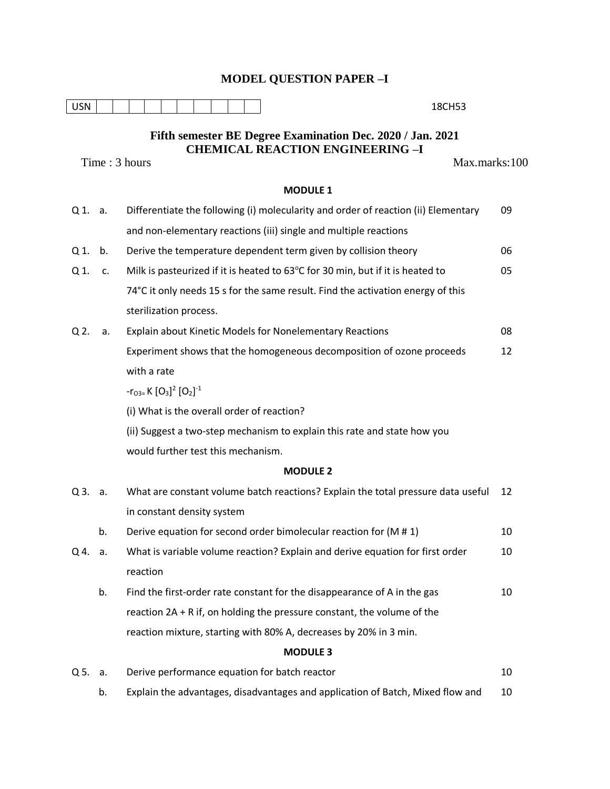## **MODEL QUESTION PAPER –I**

| <b>USN</b>                                                 |    | 18CH53                                                                                   |    |  |  |  |  |  |  |
|------------------------------------------------------------|----|------------------------------------------------------------------------------------------|----|--|--|--|--|--|--|
| Fifth semester BE Degree Examination Dec. 2020 / Jan. 2021 |    |                                                                                          |    |  |  |  |  |  |  |
| <b>CHEMICAL REACTION ENGINEERING -I</b>                    |    |                                                                                          |    |  |  |  |  |  |  |
|                                                            |    | Time: 3 hours<br>Max.marks:100                                                           |    |  |  |  |  |  |  |
| <b>MODULE 1</b>                                            |    |                                                                                          |    |  |  |  |  |  |  |
| Q 1. a.                                                    |    | Differentiate the following (i) molecularity and order of reaction (ii) Elementary<br>09 |    |  |  |  |  |  |  |
|                                                            |    | and non-elementary reactions (iii) single and multiple reactions                         |    |  |  |  |  |  |  |
| Q 1.                                                       | b. | Derive the temperature dependent term given by collision theory                          | 06 |  |  |  |  |  |  |
| Q 1.                                                       | c. | Milk is pasteurized if it is heated to 63°C for 30 min, but if it is heated to           | 05 |  |  |  |  |  |  |
|                                                            |    | 74°C it only needs 15 s for the same result. Find the activation energy of this          |    |  |  |  |  |  |  |
|                                                            |    | sterilization process.                                                                   |    |  |  |  |  |  |  |
| Q 2.                                                       | a. | Explain about Kinetic Models for Nonelementary Reactions                                 | 08 |  |  |  |  |  |  |
|                                                            |    | Experiment shows that the homogeneous decomposition of ozone proceeds                    | 12 |  |  |  |  |  |  |
|                                                            |    | with a rate                                                                              |    |  |  |  |  |  |  |
|                                                            |    | $-r_{O3}=K [O_3]^2 [O_2]^{-1}$                                                           |    |  |  |  |  |  |  |
|                                                            |    | (i) What is the overall order of reaction?                                               |    |  |  |  |  |  |  |
|                                                            |    | (ii) Suggest a two-step mechanism to explain this rate and state how you                 |    |  |  |  |  |  |  |
|                                                            |    | would further test this mechanism.                                                       |    |  |  |  |  |  |  |
|                                                            |    | <b>MODULE 2</b>                                                                          |    |  |  |  |  |  |  |
| Q3.                                                        | a. | What are constant volume batch reactions? Explain the total pressure data useful         | 12 |  |  |  |  |  |  |
|                                                            |    | in constant density system                                                               |    |  |  |  |  |  |  |
|                                                            | b. | Derive equation for second order bimolecular reaction for $(M# 1)$                       | 10 |  |  |  |  |  |  |
| Q 4.                                                       | а. | What is variable volume reaction? Explain and derive equation for first order            | 10 |  |  |  |  |  |  |
|                                                            |    | reaction                                                                                 |    |  |  |  |  |  |  |
|                                                            | b. | Find the first-order rate constant for the disappearance of A in the gas                 | 10 |  |  |  |  |  |  |
|                                                            |    | reaction 2A + R if, on holding the pressure constant, the volume of the                  |    |  |  |  |  |  |  |
|                                                            |    | reaction mixture, starting with 80% A, decreases by 20% in 3 min.                        |    |  |  |  |  |  |  |
| <b>MODULE 3</b>                                            |    |                                                                                          |    |  |  |  |  |  |  |
| Q 5.                                                       | а. | Derive performance equation for batch reactor                                            | 10 |  |  |  |  |  |  |
|                                                            | b. | Explain the advantages, disadvantages and application of Batch, Mixed flow and           | 10 |  |  |  |  |  |  |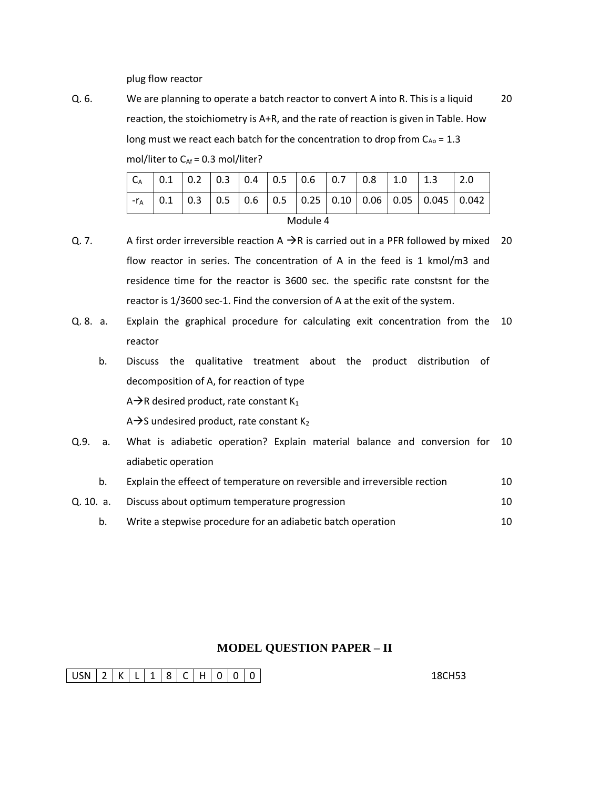plug flow reactor

Q. 6. We are planning to operate a batch reactor to convert A into R. This is a liquid reaction, the stoichiometry is A+R, and the rate of reaction is given in Table. How long must we react each batch for the concentration to drop from  $C_{A0}$  = 1.3 mol/liter to  $C_{Af} = 0.3$  mol/liter? 20

|          |  |  |  |  |  |  |  | $\vert 0.1 \vert 0.2 \vert 0.3 \vert 0.4 \vert 0.5 \vert 0.6 \vert 0.7 \vert 0.8 \vert 1.0$ |  | $\vert$ 1.3                                                                                                   |  |
|----------|--|--|--|--|--|--|--|---------------------------------------------------------------------------------------------|--|---------------------------------------------------------------------------------------------------------------|--|
|          |  |  |  |  |  |  |  |                                                                                             |  | $\vert 0.3 \vert 0.5 \vert 0.6 \vert 0.5 \vert 0.25 \vert 0.10 \vert 0.06 \vert 0.05 \vert 0.045 \vert 0.042$ |  |
| Module 4 |  |  |  |  |  |  |  |                                                                                             |  |                                                                                                               |  |

- Q. 7. A first order irreversible reaction  $A \rightarrow R$  is carried out in a PFR followed by mixed 20 flow reactor in series. The concentration of A in the feed is 1 kmol/m3 and residence time for the reactor is 3600 sec. the specific rate constsnt for the reactor is 1/3600 sec-1. Find the conversion of A at the exit of the system.
- Q. 8. a. Explain the graphical procedure for calculating exit concentration from the 10 reactor
	- b. Discuss the qualitative treatment about the product distribution of decomposition of A, for reaction of type

 $A\rightarrow R$  desired product, rate constant K<sub>1</sub>

 $A \rightarrow S$  undesired product, rate constant K<sub>2</sub>

- Q.9. a. What is adiabetic operation? Explain material balance and conversion for 10 adiabetic operation
	- b. Explain the effeect of temperature on reversible and irreversible rection 10
- Q. 10. a. Discuss about optimum temperature progression 10
	- b. Write a stepwise procedure for an adiabetic batch operation 10

## **MODEL QUESTION PAPER – II**

USN 2 K L 1 8 C H 0 0 0 0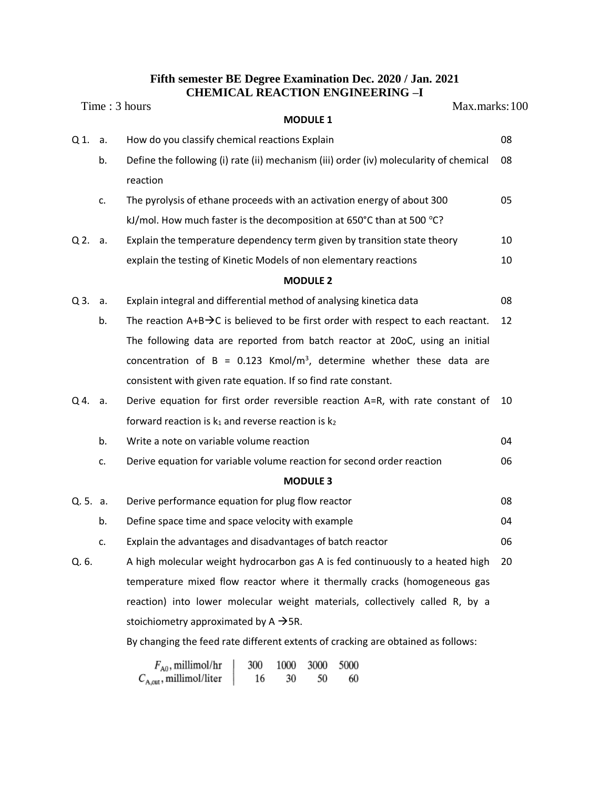## **Fifth semester BE Degree Examination Dec. 2020 / Jan. 2021 CHEMICAL REACTION ENGINEERING –I**

|                |    | Time: 3 hours<br>Max.marks: 100                                                                                |    |  |  |  |
|----------------|----|----------------------------------------------------------------------------------------------------------------|----|--|--|--|
|                |    | <b>MODULE 1</b>                                                                                                |    |  |  |  |
| Q <sub>1</sub> | a. | How do you classify chemical reactions Explain                                                                 | 08 |  |  |  |
|                | b. | Define the following (i) rate (ii) mechanism (iii) order (iv) molecularity of chemical                         | 08 |  |  |  |
|                |    | reaction                                                                                                       |    |  |  |  |
|                | c. | The pyrolysis of ethane proceeds with an activation energy of about 300                                        | 05 |  |  |  |
|                |    | kJ/mol. How much faster is the decomposition at 650°C than at 500 °C?                                          |    |  |  |  |
| $Q2$ .         | а. | Explain the temperature dependency term given by transition state theory                                       | 10 |  |  |  |
|                |    | explain the testing of Kinetic Models of non elementary reactions                                              | 10 |  |  |  |
|                |    | <b>MODULE 2</b>                                                                                                |    |  |  |  |
| Q3.            | a. | Explain integral and differential method of analysing kinetica data                                            | 08 |  |  |  |
|                | b. | The reaction $A+B\rightarrow C$ is believed to be first order with respect to each reactant.                   | 12 |  |  |  |
|                |    | The following data are reported from batch reactor at 20oC, using an initial                                   |    |  |  |  |
|                |    | concentration of B = 0.123 Kmol/m <sup>3</sup> , determine whether these data are                              |    |  |  |  |
|                |    | consistent with given rate equation. If so find rate constant.                                                 |    |  |  |  |
| $Q$ 4.         | а. | Derive equation for first order reversible reaction A=R, with rate constant of                                 | 10 |  |  |  |
|                |    | forward reaction is $k_1$ and reverse reaction is $k_2$                                                        |    |  |  |  |
|                | b. | Write a note on variable volume reaction                                                                       | 04 |  |  |  |
|                | c. | Derive equation for variable volume reaction for second order reaction                                         |    |  |  |  |
|                |    | <b>MODULE 3</b>                                                                                                |    |  |  |  |
| Q. 5. a.       |    | Derive performance equation for plug flow reactor                                                              | 08 |  |  |  |
|                | b. | Define space time and space velocity with example                                                              | 04 |  |  |  |
|                | c. | Explain the advantages and disadvantages of batch reactor                                                      | 06 |  |  |  |
| Q. 6.          |    | A high molecular weight hydrocarbon gas A is fed continuously to a heated high                                 | 20 |  |  |  |
|                |    | temperature mixed flow reactor where it thermally cracks (homogeneous gas                                      |    |  |  |  |
|                |    | reaction) into lower molecular weight materials, collectively called R, by a                                   |    |  |  |  |
|                |    | stoichiometry approximated by $A \rightarrow SR$ .                                                             |    |  |  |  |
|                |    | By changing the feed rate different extents of cracking are obtained as follows:                               |    |  |  |  |
|                |    | $F_{A0}$ , millimol/hr<br>5000<br>300<br>1000<br>3000<br>$C_{A, out}$ , millimol/liter<br>16<br>30<br>50<br>60 |    |  |  |  |